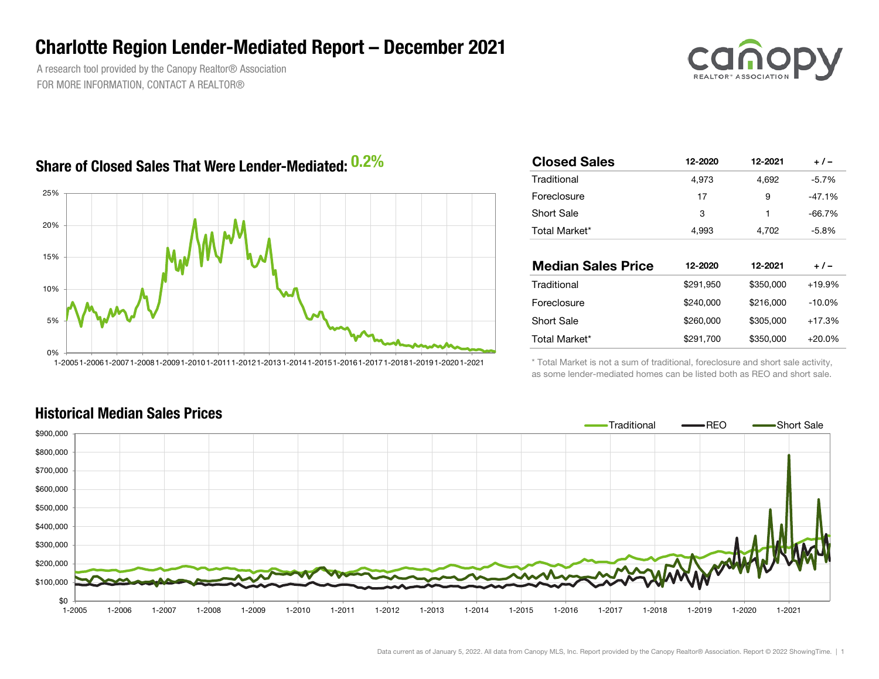## Charlotte Region Lender-Mediated Report – December 2021

A research tool provided by the Canopy Realtor® Association FOR MORE INFORMATION, CONTACT A REALTOR®



## Share of Closed Sales That Were Lender-Mediated:  $0.2\%$



| ℅ | <b>Closed Sales</b>       | 12-2020   | 12-2021   | $+/-$    |
|---|---------------------------|-----------|-----------|----------|
|   | Traditional               | 4,973     | 4,692     | $-5.7%$  |
|   | Foreclosure               | 17        | 9         | $-47.1%$ |
|   | <b>Short Sale</b>         | 3         | 1         | $-66.7%$ |
|   | Total Market*             | 4,993     | 4,702     | $-5.8%$  |
|   |                           |           |           |          |
|   | <b>Median Sales Price</b> | 12-2020   | 12-2021   | $+/-$    |
|   |                           |           |           |          |
|   | Traditional               | \$291,950 | \$350,000 | $+19.9%$ |
|   | Foreclosure               | \$240,000 | \$216,000 | $-10.0%$ |
|   | <b>Short Sale</b>         | \$260,000 | \$305,000 | $+17.3%$ |
|   | Total Market*             | \$291,700 | \$350,000 | $+20.0%$ |

\* Total Market is not a sum of traditional, foreclosure and short sale activity, as some lender-mediated homes can be listed both as REO and short sale.

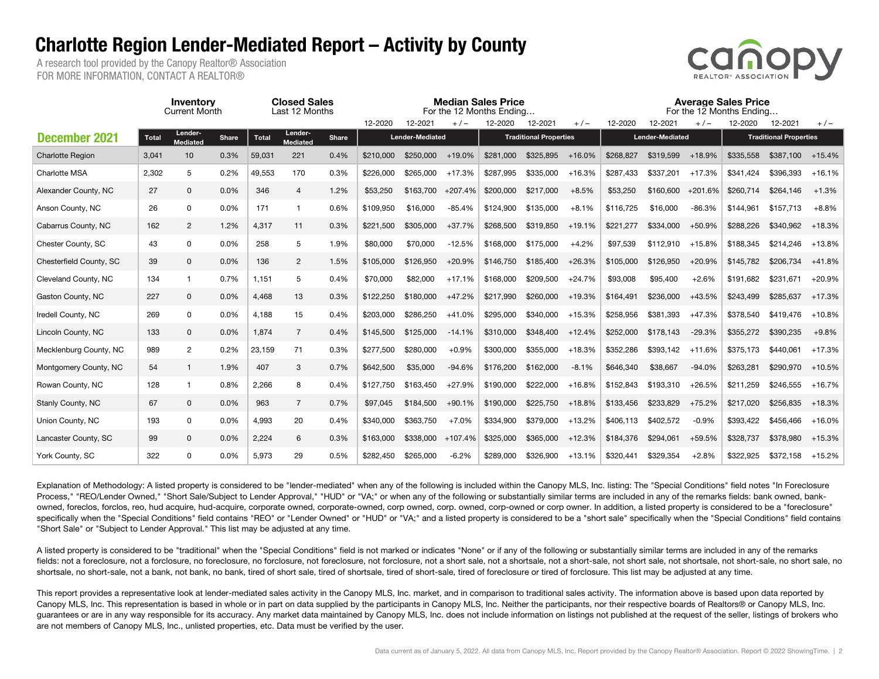## Charlotte Region Lender-Mediated Report – Activity by County

A research tool provided by the Canopy Realtor® Association FOR MORE INFORMATION, CONTACT A REALTOR®



|                         |       | Inventory<br><b>Current Month</b> |              | <b>Closed Sales</b><br>Last 12 Months |                            |              |                        |                             |                               | <b>Median Sales Price</b><br>For the 12 Months Ending |           | <b>Average Sales Price</b><br>For the 12 Months Ending |                        |           |                               |           |           |          |
|-------------------------|-------|-----------------------------------|--------------|---------------------------------------|----------------------------|--------------|------------------------|-----------------------------|-------------------------------|-------------------------------------------------------|-----------|--------------------------------------------------------|------------------------|-----------|-------------------------------|-----------|-----------|----------|
|                         |       |                                   |              |                                       |                            |              | 12-2020                | 12-2021<br>12-2020<br>$+/-$ |                               | 12-2021                                               | $+/-$     | 12-2020                                                | 12-2021                | $+/-$     | 12-2020                       | 12-2021   | $+/-$     |          |
| <b>December 2021</b>    | Total | Lender-<br>Mediated               | <b>Share</b> | <b>Total</b>                          | Lender-<br><b>Mediated</b> | <b>Share</b> | <b>Lender-Mediated</b> |                             | <b>Traditional Properties</b> |                                                       |           |                                                        | <b>Lender-Mediated</b> |           | <b>Traditional Properties</b> |           |           |          |
| <b>Charlotte Region</b> | 3,041 | 10                                | 0.3%         | 59,031                                | 221                        | 0.4%         | \$210,000              | \$250,000                   | $+19.0%$                      | \$281,000                                             | \$325.895 | $+16.0%$                                               | \$268,827              | \$319.599 | $+18.9%$                      | \$335.558 | \$387,100 | $+15.4%$ |
| <b>Charlotte MSA</b>    | 2,302 | 5                                 | 0.2%         | 49,553                                | 170                        | 0.3%         | \$226,000              | \$265,000                   | $+17.3%$                      | \$287.995                                             | \$335,000 | $+16.3%$                                               | \$287,433              | \$337.201 | $+17.3%$                      | \$341.424 | \$396.393 | $+16.1%$ |
| Alexander County, NC    | 27    | $\mathbf 0$                       | 0.0%         | 346                                   | $\overline{4}$             | 1.2%         | \$53,250               | \$163,700                   | $+207.4%$                     | \$200,000                                             | \$217,000 | $+8.5%$                                                | \$53,250               | \$160,600 | $+201.6%$                     | \$260.714 | \$264.146 | $+1.3%$  |
| Anson County, NC        | 26    | $\mathsf{O}$                      | 0.0%         | 171                                   | $\overline{1}$             | 0.6%         | \$109,950              | \$16,000                    | $-85.4%$                      | \$124.900                                             | \$135,000 | $+8.1%$                                                | \$116,725              | \$16,000  | $-86.3%$                      | \$144.961 | \$157.713 | $+8.8%$  |
| Cabarrus County, NC     | 162   | 2                                 | 1.2%         | 4,317                                 | 11                         | 0.3%         | \$221,500              | \$305,000                   | $+37.7%$                      | \$268,500                                             | \$319.850 | $+19.1%$                                               | \$221,277              | \$334.000 | $+50.9%$                      | \$288.226 | \$340.962 | $+18.3%$ |
| Chester County, SC      | 43    | $\mathbf 0$                       | 0.0%         | 258                                   | 5                          | 1.9%         | \$80,000               | \$70,000                    | $-12.5%$                      | \$168,000                                             | \$175,000 | $+4.2%$                                                | \$97,539               | \$112,910 | $+15.8%$                      | \$188,345 | \$214.246 | $+13.8%$ |
| Chesterfield County, SC | 39    | $\mathbf 0$                       | 0.0%         | 136                                   | $\overline{2}$             | 1.5%         | \$105,000              | \$126,950                   | $+20.9%$                      | \$146,750                                             | \$185,400 | $+26.3%$                                               | \$105,000              | \$126,950 | $+20.9%$                      | \$145,782 | \$206,734 | $+41.8%$ |
| Cleveland County, NC    | 134   | $\mathbf{1}$                      | 0.7%         | 1.151                                 | 5                          | 0.4%         | \$70,000               | \$82,000                    | $+17.1%$                      | \$168,000                                             | \$209.500 | $+24.7%$                                               | \$93,008               | \$95,400  | $+2.6%$                       | \$191.682 | \$231,671 | $+20.9%$ |
| Gaston County, NC       | 227   | $\mathbf 0$                       | 0.0%         | 4,468                                 | 13                         | 0.3%         | \$122,250              | \$180,000                   | $+47.2%$                      | \$217,990                                             | \$260,000 | $+19.3%$                                               | \$164,491              | \$236,000 | $+43.5%$                      | \$243,499 | \$285.637 | $+17.3%$ |
| Iredell County, NC      | 269   | 0                                 | 0.0%         | 4,188                                 | 15                         | 0.4%         | \$203,000              | \$286.250                   | $+41.0%$                      | \$295,000                                             | \$340,000 | $+15.3%$                                               | \$258,956              | \$381.393 | $+47.3%$                      | \$378,540 | \$419,476 | $+10.8%$ |
| Lincoln County, NC      | 133   | $\mathbf 0$                       | 0.0%         | 1,874                                 | $\overline{7}$             | 0.4%         | \$145,500              | \$125,000                   | $-14.1%$                      | \$310,000                                             | \$348,400 | $+12.4%$                                               | \$252,000              | \$178.143 | $-29.3%$                      | \$355,272 | \$390,235 | $+9.8%$  |
| Mecklenburg County, NC  | 989   | $\overline{2}$                    | 0.2%         | 23,159                                | 71                         | 0.3%         | \$277,500              | \$280,000                   | $+0.9%$                       | \$300,000                                             | \$355,000 | $+18.3%$                                               | \$352,286              | \$393,142 | $+11.6%$                      | \$375.173 | \$440.061 | $+17.3%$ |
| Montgomery County, NC   | 54    | $\mathbf{1}$                      | 1.9%         | 407                                   | 3                          | 0.7%         | \$642,500              | \$35,000                    | $-94.6%$                      | \$176,200                                             | \$162,000 | $-8.1%$                                                | \$646,340              | \$38,667  | $-94.0%$                      | \$263,281 | \$290,970 | $+10.5%$ |
| Rowan County, NC        | 128   | $\mathbf{1}$                      | 0.8%         | 2,266                                 | 8                          | 0.4%         | \$127.750              | \$163.450                   | $+27.9%$                      | \$190,000                                             | \$222,000 | $+16.8%$                                               | \$152,843              | \$193,310 | $+26.5%$                      | \$211.259 | \$246.555 | $+16.7%$ |
| Stanly County, NC       | 67    | $\mathbf 0$                       | 0.0%         | 963                                   | $\overline{7}$             | 0.7%         | \$97,045               | \$184.500                   | $+90.1%$                      | \$190,000                                             | \$225,750 | $+18.8%$                                               | \$133,456              | \$233,829 | $+75.2%$                      | \$217,020 | \$256,835 | $+18.3%$ |
| Union County, NC        | 193   | $\mathsf{O}$                      | 0.0%         | 4,993                                 | 20                         | 0.4%         | \$340,000              | \$363.750                   | $+7.0%$                       | \$334,900                                             | \$379,000 | $+13.2%$                                               | \$406,113              | \$402,572 | $-0.9%$                       | \$393,422 | \$456,466 | $+16.0%$ |
| Lancaster County, SC    | 99    | $\mathbf 0$                       | 0.0%         | 2,224                                 | 6                          | 0.3%         | \$163,000              | \$338,000                   | $+107.4%$                     | \$325,000                                             | \$365,000 | $+12.3%$                                               | \$184,376              | \$294,061 | $+59.5%$                      | \$328,737 | \$378,980 | $+15.3%$ |
| York County, SC         | 322   | $\Omega$                          | 0.0%         | 5,973                                 | 29                         | 0.5%         | \$282,450              | \$265,000                   | $-6.2%$                       | \$289,000                                             | \$326,900 | $+13.1%$                                               | \$320,441              | \$329,354 | $+2.8%$                       | \$322,925 | \$372,158 | $+15.2%$ |

Explanation of Methodology: A listed property is considered to be "lender-mediated" when any of the following is included within the Canopy MLS, Inc. listing: The "Special Conditions" field notes "In Foreclosure Process," "REO/Lender Owned," "Short Sale/Subject to Lender Approval," "HUD" or "VA;" or when any of the following or substantially similar terms are included in any of the remarks fields: bank owned, bankowned, foreclos, forclos, reo, hud acquire, hud-acquire, corporate owned, corporate-owned, corp owned, corp. owned, corp-owned or corp owner. In addition, a listed property is considered to be a "foreclosure" specifically when the "Special Conditions" field contains "REO" or "Lender Owned" or "HUD" or "VA;" and a listed property is considered to be a "short sale" specifically when the "Special Conditions" field contains "Short Sale" or "Subject to Lender Approval." This list may be adjusted at any time.

A listed property is considered to be "traditional" when the "Special Conditions" field is not marked or indicates "None" or if any of the following or substantially similar terms are included in any of the remarks fields: not a foreclosure, not a forclosure, no foreclosure, no forclosure, not foreclosure, not forclosure, not forclosure, not a short sale, not a short-sale, not a short-sale, not short sale, not shortsale, not shortsal shortsale, no short-sale, not a bank, not bank, no bank, tired of short sale, tired of short-sale, tired of foreclosure or tired of forclosure. This list may be adjusted at any time.

This report provides a representative look at lender-mediated sales activity in the Canopy MLS, Inc. market, and in comparison to traditional sales activity. The information above is based upon data reported by Canopy MLS, Inc. This representation is based in whole or in part on data supplied by the participants in Canopy MLS, Inc. Neither the participants, nor their respective boards of Realtors® or Canopy MLS, Inc. guarantees or are in any way responsible for its accuracy. Any market data maintained by Canopy MLS, Inc. does not include information on listings not published at the request of the seller, listings of brokers who are not members of Canopy MLS, Inc., unlisted properties, etc. Data must be verified by the user.